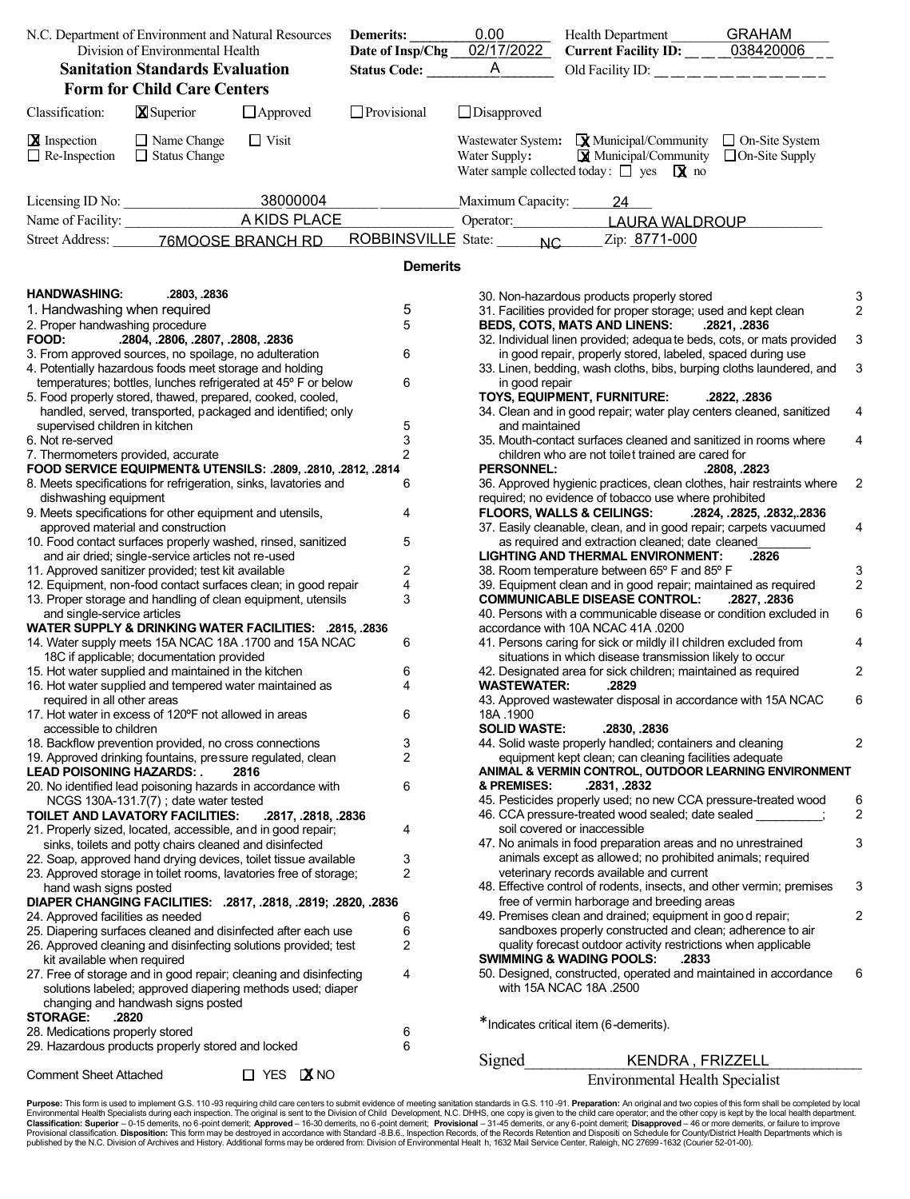| N.C. Department of Environment and Natural Resources |                                                                                                      | <b>Demerits:</b>                                                  | 0.00            | Health Department GRAHAM<br>Current Facility ID: ____038420006 |                                                                                                                                                                                                                     |              |                |
|------------------------------------------------------|------------------------------------------------------------------------------------------------------|-------------------------------------------------------------------|-----------------|----------------------------------------------------------------|---------------------------------------------------------------------------------------------------------------------------------------------------------------------------------------------------------------------|--------------|----------------|
| Division of Environmental Health                     |                                                                                                      | Date of Insp/Chg 02/17/2022                                       |                 |                                                                |                                                                                                                                                                                                                     |              |                |
|                                                      | <b>Sanitation Standards Evaluation</b>                                                               |                                                                   | Status Code: A  |                                                                | Old Facility ID: ______________                                                                                                                                                                                     |              |                |
|                                                      | <b>Form for Child Care Centers</b>                                                                   |                                                                   |                 |                                                                |                                                                                                                                                                                                                     |              |                |
| Classification:                                      | <b>X</b> Superior                                                                                    | $\Box$ Approved                                                   | Provisional     | $\Box$ Disapproved                                             |                                                                                                                                                                                                                     |              |                |
| <b>X</b> Inspection<br>$\Box$ Re-Inspection          | $\Box$ Name Change<br>$\Box$ Status Change                                                           | $\Box$ Visit                                                      |                 | Water Supply:                                                  | Wastewater System: $\mathbf{\mathbf{\mathbf{\mathsf{Q}}}}$ Municipal/Community $\Box$ On-Site System<br>$\boxtimes$ Municipal/Community $\Box$ On-Site Supply<br>Water sample collected today: $\Box$ yes $\Box$ no |              |                |
|                                                      | Licensing ID No: 38000004                                                                            |                                                                   |                 | Maximum Capacity: 24                                           |                                                                                                                                                                                                                     |              |                |
|                                                      |                                                                                                      |                                                                   |                 |                                                                | Operator: LAURA WALDROUP                                                                                                                                                                                            |              |                |
|                                                      | Street Address: _______76MOOSE BRANCH RD                                                             |                                                                   |                 |                                                                | ROBBINSVILLE State: NC Zip: 8771-000                                                                                                                                                                                |              |                |
|                                                      |                                                                                                      |                                                                   | <b>Demerits</b> |                                                                |                                                                                                                                                                                                                     |              |                |
| <b>HANDWASHING:</b>                                  | .2803, .2836                                                                                         |                                                                   |                 |                                                                | 30. Non-hazardous products properly stored                                                                                                                                                                          |              | З              |
| 1. Handwashing when required                         |                                                                                                      |                                                                   | 5               |                                                                | 31. Facilities provided for proper storage; used and kept clean                                                                                                                                                     |              | 2              |
| 2. Proper handwashing procedure                      |                                                                                                      |                                                                   | 5               |                                                                | <b>BEDS, COTS, MATS AND LINENS:</b>                                                                                                                                                                                 | .2821, .2836 |                |
| FOOD:                                                | .2804, .2806, .2807, .2808, .2836                                                                    |                                                                   |                 |                                                                | 32. Individual linen provided; adequa te beds, cots, or mats provided                                                                                                                                               |              | 3              |
|                                                      | 3. From approved sources, no spoilage, no adulteration                                               |                                                                   | 6               |                                                                | in good repair, properly stored, labeled, spaced during use                                                                                                                                                         |              |                |
|                                                      | 4. Potentially hazardous foods meet storage and holding                                              |                                                                   |                 |                                                                | 33. Linen, bedding, wash cloths, bibs, burping cloths laundered, and                                                                                                                                                |              | 3              |
|                                                      | 5. Food properly stored, thawed, prepared, cooked, cooled,                                           | temperatures; bottles, lunches refrigerated at 45° F or below     | 6               | in good repair                                                 | TOYS, EQUIPMENT, FURNITURE:                                                                                                                                                                                         | .2822, .2836 |                |
|                                                      |                                                                                                      | handled, served, transported, packaged and identified; only       |                 |                                                                | 34. Clean and in good repair; water play centers cleaned, sanitized                                                                                                                                                 |              |                |
| supervised children in kitchen                       |                                                                                                      |                                                                   |                 | and maintained                                                 |                                                                                                                                                                                                                     |              |                |
| 6. Not re-served                                     |                                                                                                      |                                                                   | $\frac{5}{3}$   |                                                                | 35. Mouth-contact surfaces cleaned and sanitized in rooms where                                                                                                                                                     |              | 4              |
| 7. Thermometers provided, accurate                   |                                                                                                      |                                                                   | $\overline{2}$  |                                                                | children who are not toilet trained are cared for                                                                                                                                                                   |              |                |
|                                                      |                                                                                                      | FOOD SERVICE EQUIPMENT& UTENSILS: .2809, .2810, .2812, .2814      |                 | <b>PERSONNEL:</b>                                              |                                                                                                                                                                                                                     | .2808, .2823 |                |
|                                                      |                                                                                                      | 8. Meets specifications for refrigeration, sinks, lavatories and  | 6               |                                                                | 36. Approved hygienic practices, clean clothes, hair restraints where                                                                                                                                               |              | $\overline{c}$ |
| dishwashing equipment                                |                                                                                                      |                                                                   |                 |                                                                | required; no evidence of tobacco use where prohibited                                                                                                                                                               |              |                |
|                                                      | 9. Meets specifications for other equipment and utensils,                                            |                                                                   | 4               |                                                                | FLOORS, WALLS & CEILINGS:  2824, .2825, .2832, .2836                                                                                                                                                                |              |                |
|                                                      | approved material and construction                                                                   | 10. Food contact surfaces properly washed, rinsed, sanitized      | 5               |                                                                | 37. Easily cleanable, clean, and in good repair; carpets vacuumed<br>as required and extraction cleaned; date cleaned                                                                                               |              | 4              |
|                                                      | and air dried; single-service articles not re-used                                                   |                                                                   |                 |                                                                | <b>LIGHTING AND THERMAL ENVIRONMENT:</b>                                                                                                                                                                            | .2826        |                |
|                                                      | 11. Approved sanitizer provided; test kit available                                                  |                                                                   | 2               |                                                                | 38. Room temperature between 65° F and 85° F                                                                                                                                                                        |              | 3              |
|                                                      |                                                                                                      | 12. Equipment, non-food contact surfaces clean; in good repair    | 4               |                                                                | 39. Equipment clean and in good repair; maintained as required                                                                                                                                                      |              | $\overline{c}$ |
|                                                      |                                                                                                      | 13. Proper storage and handling of clean equipment, utensils      | 3               |                                                                | <b>COMMUNICABLE DISEASE CONTROL:</b>                                                                                                                                                                                | .2827, .2836 |                |
| and single-service articles                          |                                                                                                      |                                                                   |                 |                                                                | 40. Persons with a communicable disease or condition excluded in                                                                                                                                                    |              | 6              |
|                                                      |                                                                                                      | WATER SUPPLY & DRINKING WATER FACILITIES: .2815, .2836            |                 |                                                                | accordance with 10A NCAC 41A .0200                                                                                                                                                                                  |              |                |
|                                                      |                                                                                                      | 14. Water supply meets 15A NCAC 18A .1700 and 15A NCAC            | 6               |                                                                | 41. Persons caring for sick or mildly ill children excluded from                                                                                                                                                    |              | 4              |
|                                                      | 18C if applicable; documentation provided<br>15. Hot water supplied and maintained in the kitchen    |                                                                   |                 |                                                                | situations in which disease transmission likely to occur                                                                                                                                                            |              |                |
|                                                      | 16. Hot water supplied and tempered water maintained as                                              |                                                                   | 6<br>4          | <b>WASTEWATER:</b>                                             | 42. Designated area for sick children; maintained as required<br>.2829                                                                                                                                              |              | 2              |
| required in all other areas                          |                                                                                                      |                                                                   |                 |                                                                | 43. Approved wastewater disposal in accordance with 15A NCAC                                                                                                                                                        |              | 6              |
|                                                      | 17. Hot water in excess of 120°F not allowed in areas                                                |                                                                   | 6               | 18A 1900                                                       |                                                                                                                                                                                                                     |              |                |
| accessible to children                               |                                                                                                      |                                                                   |                 | <b>SOLID WASTE:</b>                                            | .2830, .2836                                                                                                                                                                                                        |              |                |
|                                                      | 18. Backflow prevention provided, no cross connections                                               |                                                                   | 3               |                                                                | 44. Solid waste properly handled; containers and cleaning                                                                                                                                                           |              | 2              |
|                                                      | 19. Approved drinking fountains, pressure regulated, clean                                           |                                                                   | 2               |                                                                | equipment kept clean; can cleaning facilities adequate                                                                                                                                                              |              |                |
| <b>LEAD POISONING HAZARDS:</b>                       |                                                                                                      | 2816                                                              |                 | & PREMISES:                                                    | ANIMAL & VERMIN CONTROL, OUTDOOR LEARNING ENVIRONMENT<br>.2831, .2832                                                                                                                                               |              |                |
|                                                      | 20. No identified lead poisoning hazards in accordance with<br>NCGS 130A-131.7(7); date water tested |                                                                   | 6               |                                                                | 45. Pesticides properly used; no new CCA pressure-treated wood                                                                                                                                                      |              | 6              |
|                                                      | TOILET AND LAVATORY FACILITIES:                                                                      | .2817, .2818, .2836                                               |                 |                                                                | 46. CCA pressure-treated wood sealed; date sealed                                                                                                                                                                   |              | 2              |
|                                                      | 21. Properly sized, located, accessible, and in good repair,                                         |                                                                   | 4               |                                                                | soil covered or inaccessible                                                                                                                                                                                        |              |                |
|                                                      | sinks, toilets and potty chairs cleaned and disinfected                                              |                                                                   |                 |                                                                | 47. No animals in food preparation areas and no unrestrained                                                                                                                                                        |              | 3              |
|                                                      |                                                                                                      | 22. Soap, approved hand drying devices, toilet tissue available   | 3               |                                                                | animals except as allowed; no prohibited animals; required                                                                                                                                                          |              |                |
|                                                      |                                                                                                      | 23. Approved storage in toilet rooms, lavatories free of storage; | 2               |                                                                | veterinary records available and current                                                                                                                                                                            |              |                |
| hand wash signs posted                               |                                                                                                      |                                                                   |                 |                                                                | 48. Effective control of rodents, insects, and other vermin; premises                                                                                                                                               |              | 3              |
|                                                      |                                                                                                      | DIAPER CHANGING FACILITIES: .2817, .2818, .2819; .2820, .2836     |                 |                                                                | free of vermin harborage and breeding areas                                                                                                                                                                         |              | 2              |
| 24. Approved facilities as needed                    |                                                                                                      | 25. Diapering surfaces cleaned and disinfected after each use     | 6<br>6          |                                                                | 49. Premises clean and drained; equipment in good repair;<br>sandboxes properly constructed and clean; adherence to air                                                                                             |              |                |
|                                                      |                                                                                                      | 26. Approved cleaning and disinfecting solutions provided; test   | 2               |                                                                | quality forecast outdoor activity restrictions when applicable                                                                                                                                                      |              |                |
| kit available when required                          |                                                                                                      |                                                                   |                 |                                                                | <b>SWIMMING &amp; WADING POOLS:</b><br>.2833                                                                                                                                                                        |              |                |
|                                                      |                                                                                                      | 27. Free of storage and in good repair; cleaning and disinfecting | 4               |                                                                | 50. Designed, constructed, operated and maintained in accordance                                                                                                                                                    |              | 6              |
|                                                      |                                                                                                      | solutions labeled; approved diapering methods used; diaper        |                 |                                                                | with 15A NCAC 18A .2500                                                                                                                                                                                             |              |                |
|                                                      | changing and handwash signs posted                                                                   |                                                                   |                 |                                                                |                                                                                                                                                                                                                     |              |                |
| <b>STORAGE:</b>                                      | .2820                                                                                                |                                                                   |                 |                                                                | *Indicates critical item (6-demerits).                                                                                                                                                                              |              |                |
| 28. Medications properly stored                      |                                                                                                      |                                                                   | 6<br>6          |                                                                |                                                                                                                                                                                                                     |              |                |
|                                                      | 29. Hazardous products properly stored and locked                                                    |                                                                   |                 | Signed                                                         | KENDRA, FRIZZELL                                                                                                                                                                                                    |              |                |
| <b>Comment Sheet Attached</b>                        |                                                                                                      | $\Box$ YES $\Box$ NO                                              |                 |                                                                |                                                                                                                                                                                                                     |              |                |
|                                                      |                                                                                                      |                                                                   |                 |                                                                | <b>Environmental Health Specialist</b>                                                                                                                                                                              |              |                |

**Purpose:** This form is used to implement G.S. 110-93 requiring child care centers to submit evidence of meeting sanitation standards in G.S. 110-91. **Preparation:** An original and two copies of this form shall be complete